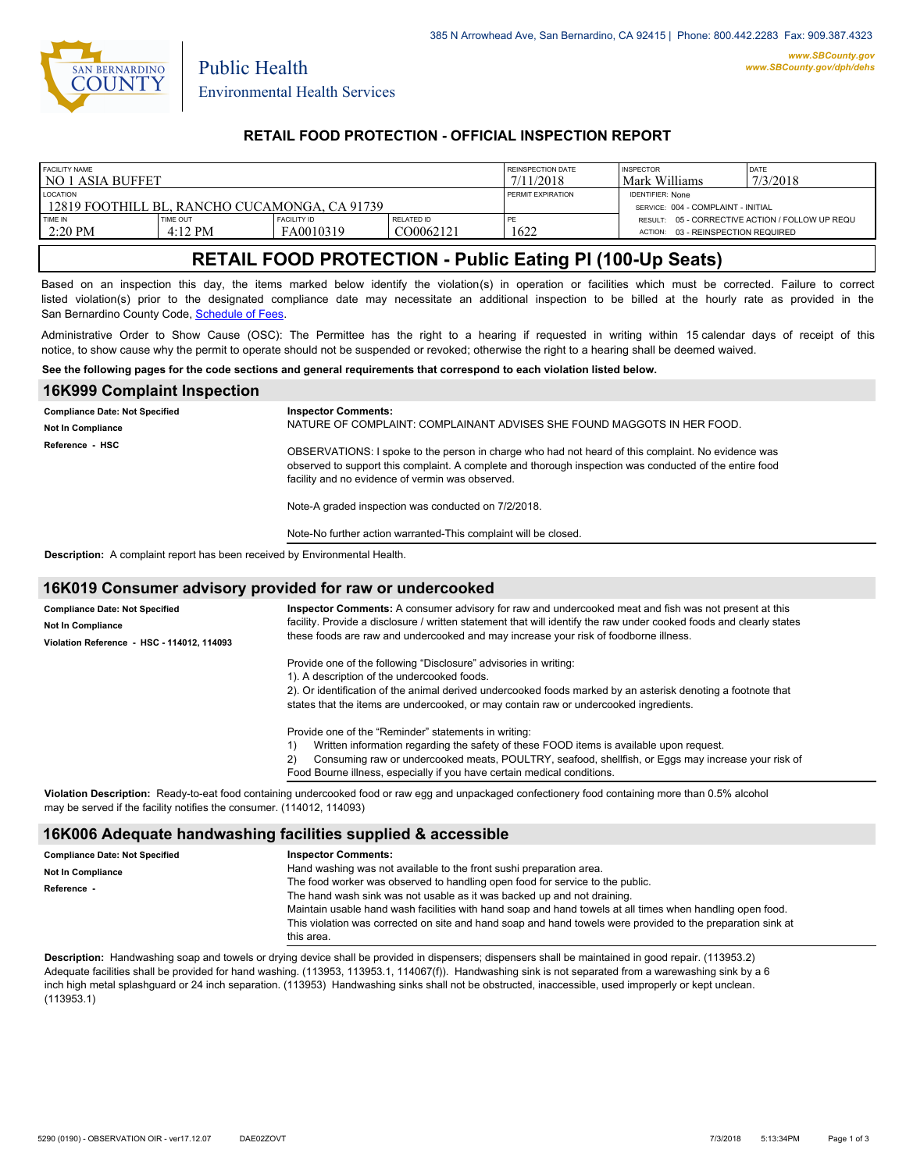

Public Health

## **RETAIL FOOD PROTECTION - OFFICIAL INSPECTION REPORT**

| <b>FACILITY NAME</b><br>l no 1 asia buffet                        |                               |                                 |                         | REINSPECTION DATE<br>7/11/2018                                | <b>INSPECTOR</b><br>Mark Williams                                                     | DATE<br>17/3/2018 |
|-------------------------------------------------------------------|-------------------------------|---------------------------------|-------------------------|---------------------------------------------------------------|---------------------------------------------------------------------------------------|-------------------|
| <b>LOCATION</b><br>-12819 FOOTHILL BL. RANCHO CUCAMONGA. CA 91739 |                               |                                 | PERMIT EXPIRATION       | <b>IDENTIFIER: None</b><br>SERVICE: 004 - COMPLAINT - INITIAL |                                                                                       |                   |
| TIME IN<br>$2:20$ PM                                              | TIME OUT<br>$4:12 \text{ PM}$ | <b>FACILITY ID</b><br>FA0010319 | RELATED ID<br>CO0062121 | PE<br>1622                                                    | RESULT: 05 - CORRECTIVE ACTION / FOLLOW UP REQU<br>ACTION: 03 - REINSPECTION REQUIRED |                   |

# **RETAIL FOOD PROTECTION - Public Eating Pl (100-Up Seats)**

Based on an inspection this day, the items marked below identify the violation(s) in operation or facilities which must be corrected. Failure to correct listed violation(s) prior to the designated compliance date may necessitate an additional inspection to be billed at the hourly rate as provided in the San Bernardino County Code, Schedule of Fees

Administrative Order to Show Cause (OSC): The Permittee has the right to a hearing if requested in writing within 15 calendar days of receipt of this notice, to show cause why the permit to operate should not be suspended or revoked; otherwise the right to a hearing shall be deemed waived.

#### **See the following pages for the code sections and general requirements that correspond to each violation listed below.**

| <b>16K999 Complaint Inspection</b>                                                |                                                                                                                                                                                                                                                                                                                          |
|-----------------------------------------------------------------------------------|--------------------------------------------------------------------------------------------------------------------------------------------------------------------------------------------------------------------------------------------------------------------------------------------------------------------------|
| <b>Compliance Date: Not Specified</b><br><b>Not In Compliance</b>                 | <b>Inspector Comments:</b><br>NATURE OF COMPLAINT: COMPLAINANT ADVISES SHE FOUND MAGGOTS IN HER FOOD.                                                                                                                                                                                                                    |
| Reference - HSC                                                                   | OBSERVATIONS: I spoke to the person in charge who had not heard of this complaint. No evidence was<br>observed to support this complaint. A complete and thorough inspection was conducted of the entire food<br>facility and no evidence of vermin was observed.<br>Note-A graded inspection was conducted on 7/2/2018. |
|                                                                                   | Note-No further action warranted-This complaint will be closed.                                                                                                                                                                                                                                                          |
| <b>Description:</b> A complaint report has been received by Environmental Health. |                                                                                                                                                                                                                                                                                                                          |

#### **16K019 Consumer advisory provided for raw or undercooked**

| <b>Compliance Date: Not Specified</b><br><b>Not In Compliance</b> | Inspector Comments: A consumer advisory for raw and undercooked meat and fish was not present at this<br>facility. Provide a disclosure / written statement that will identify the raw under cooked foods and clearly states<br>these foods are raw and undercooked and may increase your risk of foodborne illness. |  |  |
|-------------------------------------------------------------------|----------------------------------------------------------------------------------------------------------------------------------------------------------------------------------------------------------------------------------------------------------------------------------------------------------------------|--|--|
| Violation Reference - HSC - 114012, 114093                        |                                                                                                                                                                                                                                                                                                                      |  |  |
|                                                                   | Provide one of the following "Disclosure" advisories in writing:                                                                                                                                                                                                                                                     |  |  |
|                                                                   | 1). A description of the undercooked foods.                                                                                                                                                                                                                                                                          |  |  |
|                                                                   | 2). Or identification of the animal derived undercooked foods marked by an asterisk denoting a footnote that                                                                                                                                                                                                         |  |  |
|                                                                   | states that the items are undercooked, or may contain raw or undercooked ingredients.                                                                                                                                                                                                                                |  |  |
|                                                                   | Provide one of the "Reminder" statements in writing:                                                                                                                                                                                                                                                                 |  |  |
|                                                                   | Written information regarding the safety of these FOOD items is available upon request.                                                                                                                                                                                                                              |  |  |
|                                                                   | Consuming raw or undercooked meats, POULTRY, seafood, shellfish, or Eggs may increase your risk of<br>(2)                                                                                                                                                                                                            |  |  |
|                                                                   | Food Bourne illness, especially if you have certain medical conditions.                                                                                                                                                                                                                                              |  |  |
|                                                                   |                                                                                                                                                                                                                                                                                                                      |  |  |

**Violation Description:** Ready-to-eat food containing undercooked food or raw egg and unpackaged confectionery food containing more than 0.5% alcohol may be served if the facility notifies the consumer. (114012, 114093)

### **16K006 Adequate handwashing facilities supplied & accessible**

| <b>Compliance Date: Not Specified</b> | <b>Inspector Comments:</b>                                                                                  |  |
|---------------------------------------|-------------------------------------------------------------------------------------------------------------|--|
| Not In Compliance                     | Hand washing was not available to the front sushi preparation area.                                         |  |
| Reference                             | The food worker was observed to handling open food for service to the public.                               |  |
|                                       | The hand wash sink was not usable as it was backed up and not draining.                                     |  |
|                                       | Maintain usable hand wash facilities with hand soap and hand towels at all times when handling open food.   |  |
|                                       | This violation was corrected on site and hand soap and hand towels were provided to the preparation sink at |  |
|                                       | this area.                                                                                                  |  |

**Description:** Handwashing soap and towels or drying device shall be provided in dispensers; dispensers shall be maintained in good repair. (113953.2) Adequate facilities shall be provided for hand washing. (113953, 113953.1, 114067(f)). Handwashing sink is not separated from a warewashing sink by a 6 inch high metal splashguard or 24 inch separation. (113953) Handwashing sinks shall not be obstructed, inaccessible, used improperly or kept unclean. (113953.1)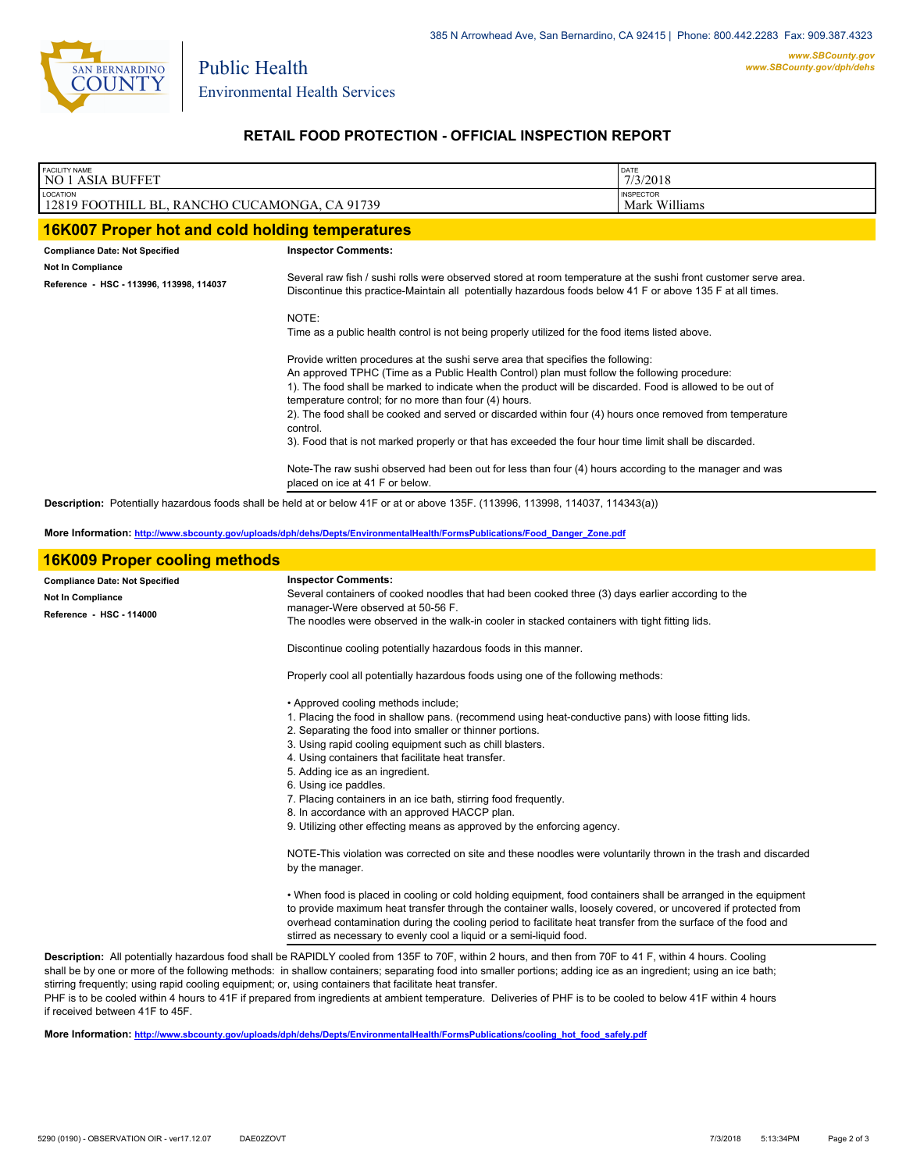

Public Health

## **RETAIL FOOD PROTECTION - OFFICIAL INSPECTION REPORT**

| FACILITY NAME<br><b>NO 1 ASIA BUFFET</b>                      |                                                                                                                                                                                                                                                                                                                                                                                                                                                                                                                                                                                          | DATE<br>7/3/2018                  |  |
|---------------------------------------------------------------|------------------------------------------------------------------------------------------------------------------------------------------------------------------------------------------------------------------------------------------------------------------------------------------------------------------------------------------------------------------------------------------------------------------------------------------------------------------------------------------------------------------------------------------------------------------------------------------|-----------------------------------|--|
| LOCATION<br>12819 FOOTHILL BL, RANCHO CUCAMONGA, CA 91739     |                                                                                                                                                                                                                                                                                                                                                                                                                                                                                                                                                                                          | <b>INSPECTOR</b><br>Mark Williams |  |
| 16K007 Proper hot and cold holding temperatures               |                                                                                                                                                                                                                                                                                                                                                                                                                                                                                                                                                                                          |                                   |  |
| <b>Compliance Date: Not Specified</b>                         | <b>Inspector Comments:</b>                                                                                                                                                                                                                                                                                                                                                                                                                                                                                                                                                               |                                   |  |
| Not In Compliance<br>Reference - HSC - 113996, 113998, 114037 | Several raw fish / sushi rolls were observed stored at room temperature at the sushi front customer serve area.<br>Discontinue this practice-Maintain all potentially hazardous foods below 41 F or above 135 F at all times.                                                                                                                                                                                                                                                                                                                                                            |                                   |  |
|                                                               | NOTE:<br>Time as a public health control is not being properly utilized for the food items listed above.                                                                                                                                                                                                                                                                                                                                                                                                                                                                                 |                                   |  |
|                                                               | Provide written procedures at the sushi serve area that specifies the following:<br>An approved TPHC (Time as a Public Health Control) plan must follow the following procedure:<br>1). The food shall be marked to indicate when the product will be discarded. Food is allowed to be out of<br>temperature control; for no more than four (4) hours.<br>2). The food shall be cooked and served or discarded within four (4) hours once removed from temperature<br>control.<br>3). Food that is not marked properly or that has exceeded the four hour time limit shall be discarded. |                                   |  |
|                                                               | Note-The raw sushi observed had been out for less than four (4) hours according to the manager and was<br>placed on ice at 41 F or below.                                                                                                                                                                                                                                                                                                                                                                                                                                                |                                   |  |
|                                                               | Description: Potentially hazardous foods shall be held at or below 41F or at or above 135F. (113996, 113998, 114037, 114343(a))                                                                                                                                                                                                                                                                                                                                                                                                                                                          |                                   |  |

**More Information: [http://www.sbcounty.gov/uploads/dph/dehs/Depts/EnvironmentalHealth/FormsPublications/Food\\_Danger\\_Zone.pdf](http://www.sbcounty.gov/uploads/dph/dehs/Depts/EnvironmentalHealth/FormsPublications/Food_Danger_Zone.pdf)**

| <b>16K009 Proper cooling methods</b>  |                                                                                                                                                                                                                                                                                                                                                                                                                         |  |  |
|---------------------------------------|-------------------------------------------------------------------------------------------------------------------------------------------------------------------------------------------------------------------------------------------------------------------------------------------------------------------------------------------------------------------------------------------------------------------------|--|--|
| <b>Compliance Date: Not Specified</b> | <b>Inspector Comments:</b>                                                                                                                                                                                                                                                                                                                                                                                              |  |  |
| Not In Compliance                     | Several containers of cooked noodles that had been cooked three (3) days earlier according to the                                                                                                                                                                                                                                                                                                                       |  |  |
| Reference HSC - 114000                | manager-Were observed at 50-56 F.                                                                                                                                                                                                                                                                                                                                                                                       |  |  |
|                                       | The noodles were observed in the walk-in cooler in stacked containers with tight fitting lids.                                                                                                                                                                                                                                                                                                                          |  |  |
|                                       | Discontinue cooling potentially hazardous foods in this manner.                                                                                                                                                                                                                                                                                                                                                         |  |  |
|                                       | Properly cool all potentially hazardous foods using one of the following methods:                                                                                                                                                                                                                                                                                                                                       |  |  |
|                                       | • Approved cooling methods include;                                                                                                                                                                                                                                                                                                                                                                                     |  |  |
|                                       | 1. Placing the food in shallow pans. (recommend using heat-conductive pans) with loose fitting lids.                                                                                                                                                                                                                                                                                                                    |  |  |
|                                       | 2. Separating the food into smaller or thinner portions.                                                                                                                                                                                                                                                                                                                                                                |  |  |
|                                       | 3. Using rapid cooling equipment such as chill blasters.                                                                                                                                                                                                                                                                                                                                                                |  |  |
|                                       | 4. Using containers that facilitate heat transfer.                                                                                                                                                                                                                                                                                                                                                                      |  |  |
|                                       | 5. Adding ice as an ingredient.                                                                                                                                                                                                                                                                                                                                                                                         |  |  |
|                                       | 6. Using ice paddles.                                                                                                                                                                                                                                                                                                                                                                                                   |  |  |
|                                       | 7. Placing containers in an ice bath, stirring food frequently.                                                                                                                                                                                                                                                                                                                                                         |  |  |
|                                       | 8. In accordance with an approved HACCP plan.                                                                                                                                                                                                                                                                                                                                                                           |  |  |
|                                       | 9. Utilizing other effecting means as approved by the enforcing agency.                                                                                                                                                                                                                                                                                                                                                 |  |  |
|                                       | NOTE-This violation was corrected on site and these noodles were voluntarily thrown in the trash and discarded<br>by the manager.                                                                                                                                                                                                                                                                                       |  |  |
|                                       | . When food is placed in cooling or cold holding equipment, food containers shall be arranged in the equipment<br>to provide maximum heat transfer through the container walls, loosely covered, or uncovered if protected from<br>overhead contamination during the cooling period to facilitate heat transfer from the surface of the food and<br>stirred as necessary to evenly cool a liquid or a semi-liquid food. |  |  |
|                                       | $\Box$ . The contract $\Box$ and $\Box$ and $\Box$ and $\Box$ and $\Box$ and $\Box$ and $\Box$ and $\Box$ and $\Box$ and $\Box$ and $\Box$ and $\Box$ and $\Box$ and $\Box$ and $\Box$ and $\Box$ and $\Box$ and $\Box$ and $\Box$ and $\Box$ and $\Box$ and $\Box$ and $\Box$                                                                                                                                          |  |  |

**Description:** All potentially hazardous food shall be RAPIDLY cooled from 135F to 70F, within 2 hours, and then from 70F to 41 F, within 4 hours. Cooling shall be by one or more of the following methods: in shallow containers; separating food into smaller portions; adding ice as an ingredient; using an ice bath; stirring frequently; using rapid cooling equipment; or, using containers that facilitate heat transfer.

PHF is to be cooled within 4 hours to 41F if prepared from ingredients at ambient temperature. Deliveries of PHF is to be cooled to below 41F within 4 hours if received between 41F to 45F.

**More Information: [http://www.sbcounty.gov/uploads/dph/dehs/Depts/EnvironmentalHealth/FormsPublications/cooling\\_hot\\_food\\_safely.pdf](http://www.sbcounty.gov/uploads/dph/dehs/Depts/EnvironmentalHealth/FormsPublications/cooling_hot_food_safely.pdf)**